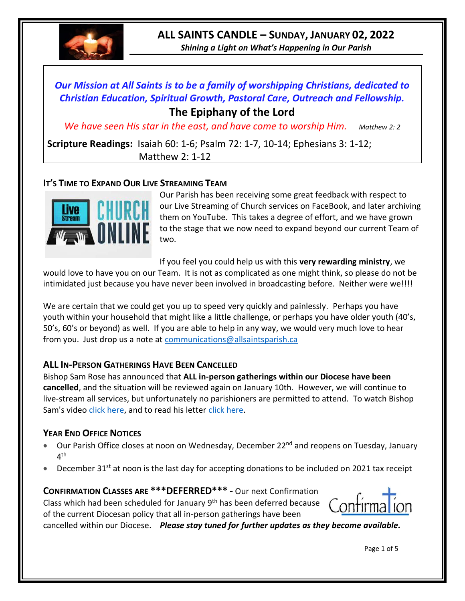

# **ALL SAINTS CANDLE – SUNDAY, JANUARY 02, 2022**

*Shining a Light on What's Happening in Our Parish*

# *Our Mission at All Saints is to be a family of worshipping Christians, dedicated to Christian Education, Spiritual Growth, Pastoral Care, Outreach and Fellowship.* **The Epiphany of the Lord**

*We have seen His star in the east, and have come to worship Him.* Matthew 2: 2

**Scripture Readings:** Isaiah 60: 1-6; Psalm 72: 1-7, 10-14; Ephesians 3: 1-12; Matthew 2: 1-12

# **IT'S TIME TO EXPAND OUR LIVE STREAMING TEAM**



Our Parish has been receiving some great feedback with respect to our Live Streaming of Church services on FaceBook, and later archiving them on YouTube. This takes a degree of effort, and we have grown to the stage that we now need to expand beyond our current Team of two.

If you feel you could help us with this **very rewarding ministry**, we

would love to have you on our Team. It is not as complicated as one might think, so please do not be intimidated just because you have never been involved in broadcasting before. Neither were we!!!!

We are certain that we could get you up to speed very quickly and painlessly. Perhaps you have youth within your household that might like a little challenge, or perhaps you have older youth (40's, 50's, 60's or beyond) as well. If you are able to help in any way, we would very much love to hear from you. Just drop us a note at [communications@allsaintsparish.ca](mailto:communications@allsaintsparish.ca)

# **ALL IN-PERSON GATHERINGS HAVE BEEN CANCELLED**

Bishop Sam Rose has announced that **ALL in-person gatherings within our Diocese have been cancelled**, and the situation will be reviewed again on January 10th. However, we will continue to live-stream all services, but unfortunately no parishioners are permitted to attend. To watch Bishop Sam's video [click here,](https://www.facebook.com/AnglicanEastNL/) and to read his letter [click here.](http://allsaintsparish.ca/document_library/Diocese%20Docs/211223%20Bishops%20Letter%20COVID%20Update.pdf)

# **YEAR END OFFICE NOTICES**

- Our Parish Office closes at noon on Wednesday, December 22<sup>nd</sup> and reopens on Tuesday, January 4<sup>th</sup>
- December  $31^{st}$  at noon is the last day for accepting donations to be included on 2021 tax receipt

**CONFIRMATION CLASSES ARE \*\*\*DEFERRED\*\*\* -** Our next Confirmation Class which had been scheduled for January  $9<sup>th</sup>$  has been deferred because of the current Diocesan policy that all in-person gatherings have been



cancelled within our Diocese. *Please stay tuned for further updates as they become available.*

Page 1 of 5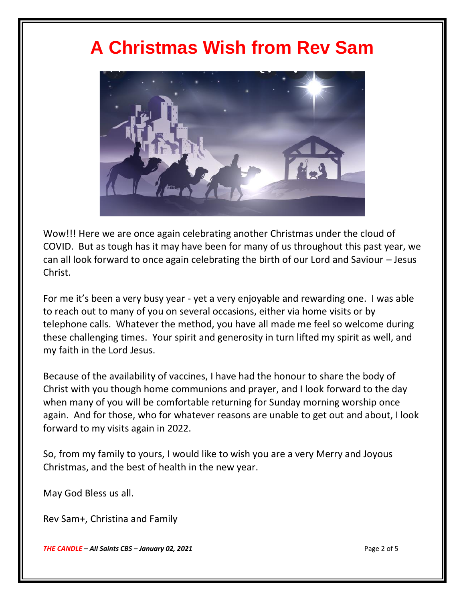# **A Christmas Wish from Rev Sam**



Wow!!! Here we are once again celebrating another Christmas under the cloud of COVID. But as tough has it may have been for many of us throughout this past year, we can all look forward to once again celebrating the birth of our Lord and Saviour – Jesus Christ.

For me it's been a very busy year - yet a very enjoyable and rewarding one. I was able to reach out to many of you on several occasions, either via home visits or by telephone calls. Whatever the method, you have all made me feel so welcome during these challenging times. Your spirit and generosity in turn lifted my spirit as well, and my faith in the Lord Jesus.

Because of the availability of vaccines, I have had the honour to share the body of Christ with you though home communions and prayer, and I look forward to the day when many of you will be comfortable returning for Sunday morning worship once again. And for those, who for whatever reasons are unable to get out and about, I look forward to my visits again in 2022.

So, from my family to yours, I would like to wish you are a very Merry and Joyous Christmas, and the best of health in the new year.

May God Bless us all.

Rev Sam+, Christina and Family

*THE CANDLE – All Saints CBS – January 02, 2021* Page 2 of 5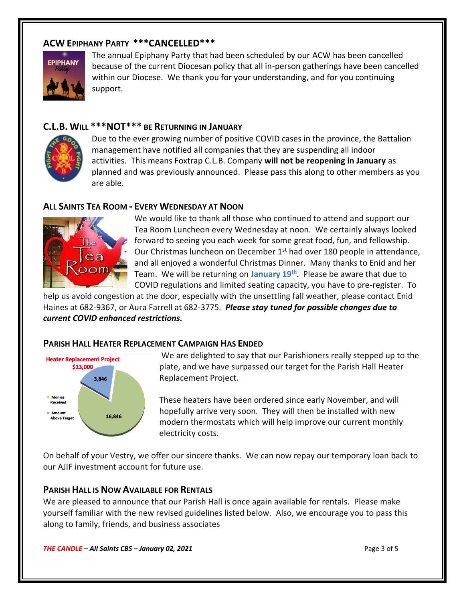## **ACW EPIPHANY PARTY \*\*\*CANCELLED\*\*\***



The annual Epiphany Party that had been scheduled by our ACW has been cancelled because of the current Diocesan policy that all in-person gatherings have been cancelled within our Diocese. We thank you for your understanding, and for you continuing support.

#### **C.L.B. WILL \*\*\*NOT\*\*\* BE RETURNING IN JANUARY**



Due to the ever growing number of positive COVID cases in the province, the Battalion management have notified all companies that they are suspending all indoor activities. This means Foxtrap C.L.B. Company **will not be reopening in January** as planned and was previously announced. Please pass this along to other members as you are able.

#### **ALL SAINTS TEA ROOM - EVERY WEDNESDAY AT NOON**



We would like to thank all those who continued to attend and support our Tea Room Luncheon every Wednesday at noon. We certainly always looked forward to seeing you each week for some great food, fun, and fellowship. Our Christmas luncheon on December 1<sup>st</sup> had over 180 people in attendance, and all enjoyed a wonderful Christmas Dinner. Many thanks to Enid and her Team. We will be returning on **January 19th** . Please be aware that due to COVID regulations and limited seating capacity, you have to pre-register. To

help us avoid congestion at the door, especially with the unsettling fall weather, please contact Enid Haines at 682-9367, or Aura Farrell at 682-3775. *Please stay tuned for possible changes due to current COVID enhanced restrictions.*

#### **PARISH HALL HEATER REPLACEMENT CAMPAIGN HAS ENDED**



We are delighted to say that our Parishioners really stepped up to the plate, and we have surpassed our target for the Parish Hall Heater Replacement Project.

These heaters have been ordered since early November, and will hopefully arrive very soon. They will then be installed with new modern thermostats which will help improve our current monthly electricity costs.

On behalf of your Vestry, we offer our sincere thanks. We can now repay our temporary loan back to our AJIF investment account for future use.

#### **PARISH HALL IS NOW AVAILABLE FOR RENTALS**

We are pleased to announce that our Parish Hall is once again available for rentals. Please make yourself familiar with the new revised guidelines listed below. Also, we encourage you to pass this along to family, friends, and business associates

*THE CANDLE – All Saints CBS – January 02, 2021* Page 3 of 5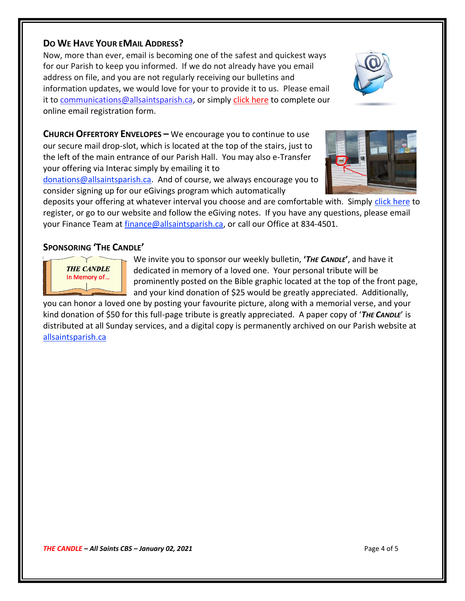### **DO WE HAVE YOUR EMAIL ADDRESS?**

Now, more than ever, email is becoming one of the safest and quickest ways for our Parish to keep you informed. If we do not already have you email address on file, and you are not regularly receiving our bulletins and information updates, we would love for your to provide it to us. Please email it to [communications@allsaintsparish.ca,](mailto:communications@allsaintsparish.ca?subject=eMail%20Address%20Update) or simply [click here](http://allsaintsparish.ca/email_updates) to complete our online email registration form.

**CHURCH OFFERTORY ENVELOPES –** We encourage you to continue to use our secure mail drop-slot, which is located at the top of the stairs, just to the left of the main entrance of our Parish Hall. You may also e-Transfer your offering via Interac simply by emailing it to

[donations@allsaintsparish.ca.](mailto:donations@allsaintsparish.ca) And of course, we always encourage you to consider signing up for our eGivings program which automatically

deposits your offering at whatever interval you choose and are comfortable with. Simply [click here](http://allsaintsparish.ca/egiving-online-information-form) to register, or go to our website and follow the eGiving notes. If you have [any](https://wfsites-to.websitecreatorprotool.com/870a5dd5.com/Admin/%7BSK_NODEID__22939341__SK%7D) questions, please email your Finance Team at [finance@allsaintsparish.ca,](mailto:finance@allsaintsparish.ca) or call our Office at 834-4501.

# **SPONSORING 'THE CANDLE'**

**THE CANDLE** In Memory of... We invite you to sponsor our weekly bulletin, **'***THE CANDLE***'**, and have it dedicated in memory of a loved one. Your personal tribute will be prominently posted on the Bible graphic located at the top of the front page, and your kind donation of \$25 would be greatly appreciated. Additionally,

you can honor a loved one by posting your favourite picture, along with a memorial verse, and your kind donation of \$50 for this full-page tribute is greatly appreciated. A paper copy of '*THE CANDLE*' is distributed at all Sunday services, and a digital copy is permanently archived on our Parish website at [allsaintsparish.ca](http://allsaintsparish.ca/thecandle.html)